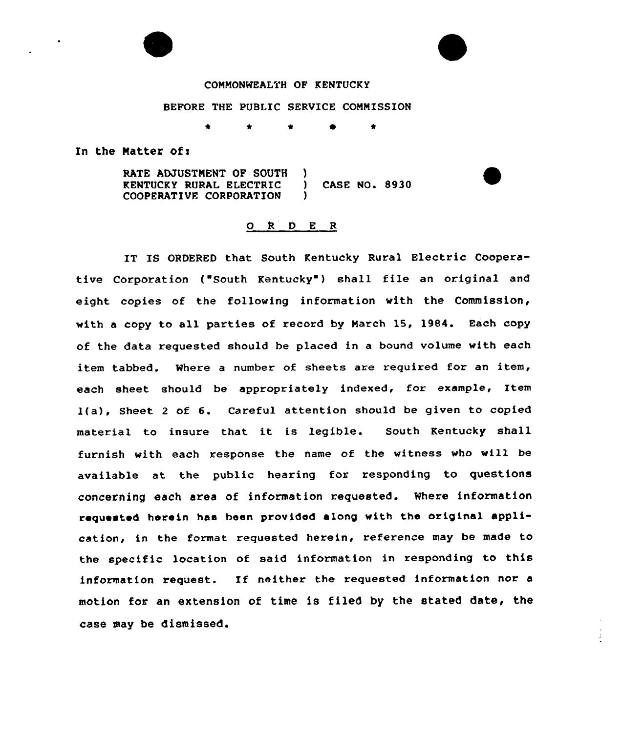## COMMONWEALTH OF KENTUCKY

## BEFORE THE PUBLIC SERVICE COMMISSION

\* 0  $\bullet$ 

In the Matter of:

RATE ADJUSTMENT OF SOUTH Δ. KENTUCKY RURAL ELECTRIC ) CASE NO. 8930 COOPERATIVE CORPORATION

## 0 <sup>R</sup> 0 E <sup>R</sup>

IT IS ORDERED that South Kentucky Rural Electric Cooperative Corporation ("South Kentucky") shall file an original and eight copies of the following information with the Commission, with a copy to all parties of record by Narch 15, 1984. Each copy of the data requested should be placed in a bound volume with each item tabbed. Where a number of sheets are required for an item, each sheet should be appropriately indexed, for example, Item l(a), Sheet <sup>2</sup> of 6. Careful attention should be given to copied material to insure that it is legible. South Kentucky shall furnish with each response the name of the witness vho will be available at the public hearing for responding to questions concerning each area of information requested. Where information requested herein has been provided along with the original application, in the format requested herein, reference may be made to the specific location of said information in responding to this information request. If neither the requested information nor a motion for an extension of time is filed by the stated date, the case may be dismissed.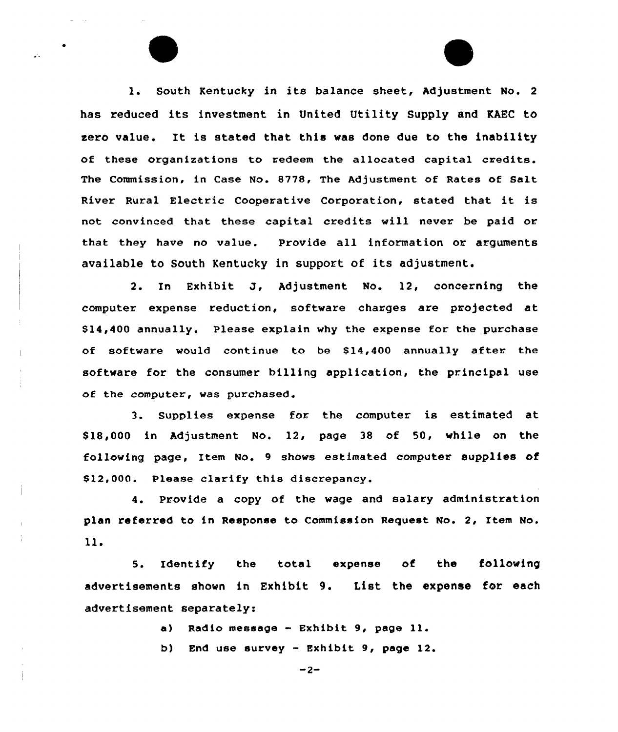1. South Kentucky in its balance sheet, Adjustment No. <sup>2</sup> has reduced its investment in United Utility Supply and KAEC to zero value. It is stated that this was done due to the inability of these organizations to redeem the allocated capital credits. The Commission, in Case No. 8778, The Adjustment of Rates of Salt River Rural Electric Cooperative Corporation, stated that it is not convinced that these capital credits will never be paid or that they have no value. Provide all information or arguments available to South Kentucky in support of its adjustment.

 $\mathbf{A}$ 

2. In Exhibit J, Adjustment No. 12, concerning the computer expense reduction, software charges are projected at \$ 14,400 annually. Please explain why the expense for the purchase of software would continue to be \$14,400 annually after the software for the consumer billing application, the principal use of the computer, was purchased.

3. Supplies expense for the computer is estimated at \$ 18,000 in Adjustment No. 12, page 38 of 50, while on the following page, Item No. 9 shows estimated computer supplies of \$12,000. Please clarify this discrepancy.

4. Provide a copy of the wage and salary administration plan referred to in Response to Commission Request No. 2, Item No.  $11.$ 

5. Identify the total expense of the following advertisements shown in Exhibit 9. List the expense for each advertisement separately:

a) Radio message - Exhibit 9, page 11.

b) End use survey — Exhibit 9, page 12.

 $-2-$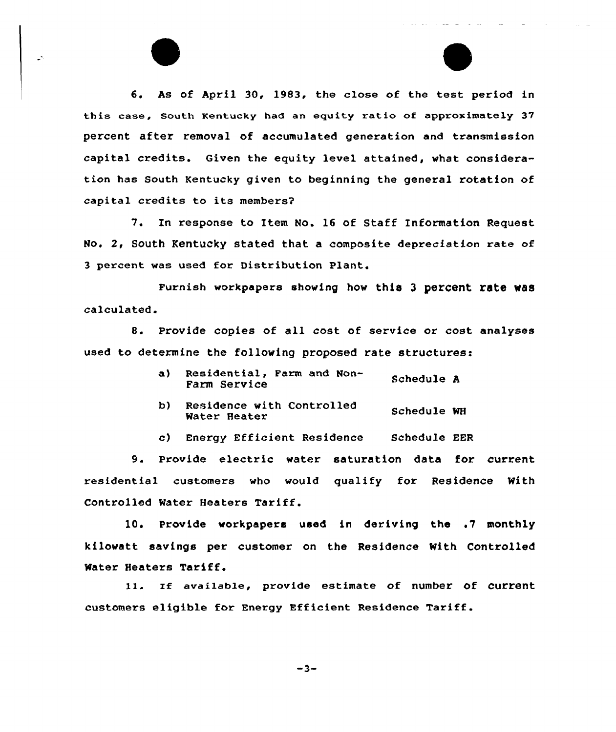6. As of April 30, 1983, the close of the test period in this case, south Kentucky had an equity ratio of approximately 37 percent after removal of accumulated generation and transmission capital credits. Given the equity level attained, what consideration has South Kentucky given to beginning the general rotation of capital credits to its members?

 $\mathbb{R}^2$ 

7. In response to Item No. 16 of Staff Information Request No. 2, South Kentucky stated that a composite depreciation rate of 3 percent was used for Distribution Plant.

Furnish workpapers showing how this 3 percent rate was calculated.

8. Provide copies of all cost of service or cost analyses used to determine the following pxoposed rate structures:

- a} Residential, Farm and Non-Schedule A Farm Service
- b} Residence with Contxolled Residence with Controlled Schedule WH<br>Water Heater
- c) Enexgy Efficient Residence Schedule EER

9. Provide electxic watex satuxation data fox current residential custcmers who would qualify for Residence With Controlled Water Heaters Tariff.

10. Provide workpapers used in deriving the .7 monthly kilowatt savings per customer on the Residence With Controlled Water Heaters Tariff.

11. If available, provide estimate of number of current customers eligible for Energy Efficient Residence Tariff.

$$
-3-
$$